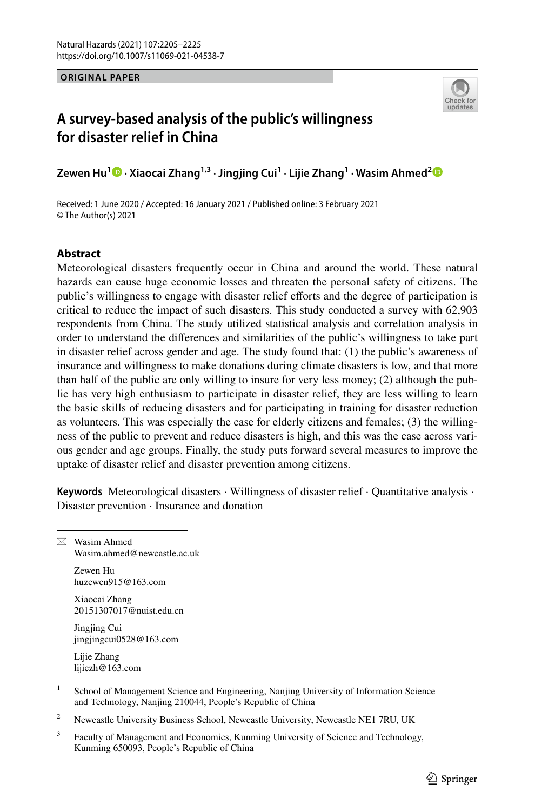**ORIGINAL PAPER**



# **A survey‑based analysis of the public's willingness for disaster relief in China**

**Zewen Hu1 · Xiaocai Zhang1,3 · Jingjing Cui1 · Lijie Zhang1 · Wasim Ahmed[2](http://orcid.org/0000-0001-8923-1865)**

Received: 1 June 2020 / Accepted: 16 January 2021 / Published online: 3 February 2021 © The Author(s) 2021

# **Abstract**

Meteorological disasters frequently occur in China and around the world. These natural hazards can cause huge economic losses and threaten the personal safety of citizens. The public's willingness to engage with disaster relief efforts and the degree of participation is critical to reduce the impact of such disasters. This study conducted a survey with 62,903 respondents from China. The study utilized statistical analysis and correlation analysis in order to understand the diferences and similarities of the public's willingness to take part in disaster relief across gender and age. The study found that: (1) the public's awareness of insurance and willingness to make donations during climate disasters is low, and that more than half of the public are only willing to insure for very less money; (2) although the public has very high enthusiasm to participate in disaster relief, they are less willing to learn the basic skills of reducing disasters and for participating in training for disaster reduction as volunteers. This was especially the case for elderly citizens and females; (3) the willingness of the public to prevent and reduce disasters is high, and this was the case across various gender and age groups. Finally, the study puts forward several measures to improve the uptake of disaster relief and disaster prevention among citizens.

**Keywords** Meteorological disasters · Willingness of disaster relief · Quantitative analysis · Disaster prevention · Insurance and donation

 $\boxtimes$  Wasim Ahmed Wasim.ahmed@newcastle.ac.uk

> Zewen Hu huzewen915@163.com

Xiaocai Zhang 20151307017@nuist.edu.cn

Jingjing Cui jingjingcui0528@163.com

Lijie Zhang lijiezh@163.com

- <sup>1</sup> School of Management Science and Engineering, Nanjing University of Information Science and Technology, Nanjing 210044, People's Republic of China
- <sup>2</sup> Newcastle University Business School, Newcastle University, Newcastle NE1 7RU, UK
- <sup>3</sup> Faculty of Management and Economics, Kunming University of Science and Technology, Kunming 650093, People's Republic of China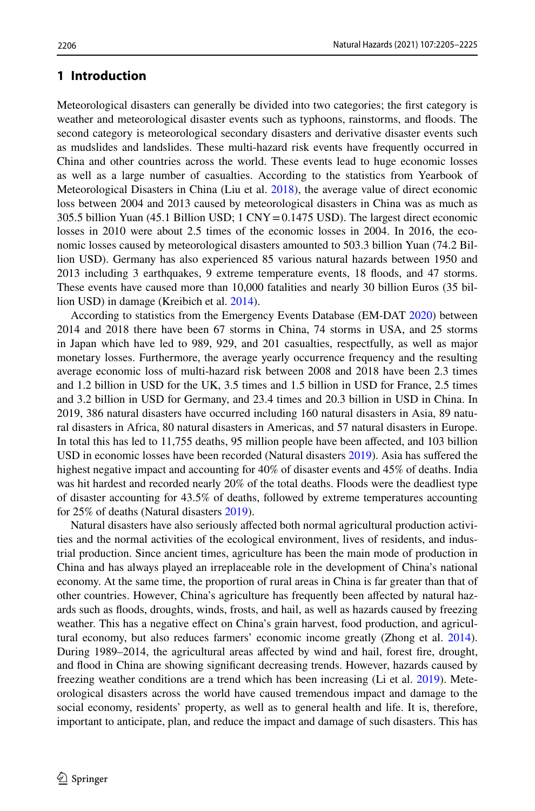### **1 Introduction**

Meteorological disasters can generally be divided into two categories; the frst category is weather and meteorological disaster events such as typhoons, rainstorms, and foods. The second category is meteorological secondary disasters and derivative disaster events such as mudslides and landslides. These multi-hazard risk events have frequently occurred in China and other countries across the world. These events lead to huge economic losses as well as a large number of casualties. According to the statistics from Yearbook of Meteorological Disasters in China (Liu et al. [2018\)](#page-20-0), the average value of direct economic loss between 2004 and 2013 caused by meteorological disasters in China was as much as 305.5 billion Yuan (45.1 Billion USD; 1 CNY=0.1475 USD). The largest direct economic losses in 2010 were about 2.5 times of the economic losses in 2004. In 2016, the economic losses caused by meteorological disasters amounted to 503.3 billion Yuan (74.2 Billion USD). Germany has also experienced 85 various natural hazards between 1950 and 2013 including 3 earthquakes, 9 extreme temperature events, 18 foods, and 47 storms. These events have caused more than 10,000 fatalities and nearly 30 billion Euros (35 billion USD) in damage (Kreibich et al. [2014](#page-20-1)).

According to statistics from the Emergency Events Database (EM-DAT [2020](#page-19-0)) between 2014 and 2018 there have been 67 storms in China, 74 storms in USA, and 25 storms in Japan which have led to 989, 929, and 201 casualties, respectfully, as well as major monetary losses. Furthermore, the average yearly occurrence frequency and the resulting average economic loss of multi-hazard risk between 2008 and 2018 have been 2.3 times and 1.2 billion in USD for the UK, 3.5 times and 1.5 billion in USD for France, 2.5 times and 3.2 billion in USD for Germany, and 23.4 times and 20.3 billion in USD in China. In 2019, 386 natural disasters have occurred including 160 natural disasters in Asia, 89 natural disasters in Africa, 80 natural disasters in Americas, and 57 natural disasters in Europe. In total this has led to 11,755 deaths, 95 million people have been afected, and 103 billion USD in economic losses have been recorded (Natural disasters [2019](#page-20-2)). Asia has sufered the highest negative impact and accounting for 40% of disaster events and 45% of deaths. India was hit hardest and recorded nearly 20% of the total deaths. Floods were the deadliest type of disaster accounting for 43.5% of deaths, followed by extreme temperatures accounting for 25% of deaths (Natural disasters [2019\)](#page-20-2).

Natural disasters have also seriously afected both normal agricultural production activities and the normal activities of the ecological environment, lives of residents, and industrial production. Since ancient times, agriculture has been the main mode of production in China and has always played an irreplaceable role in the development of China's national economy. At the same time, the proportion of rural areas in China is far greater than that of other countries. However, China's agriculture has frequently been afected by natural hazards such as foods, droughts, winds, frosts, and hail, as well as hazards caused by freezing weather. This has a negative efect on China's grain harvest, food production, and agricultural economy, but also reduces farmers' economic income greatly (Zhong et al. [2014](#page-20-3)). During 1989–2014, the agricultural areas afected by wind and hail, forest fre, drought, and food in China are showing signifcant decreasing trends. However, hazards caused by freezing weather conditions are a trend which has been increasing (Li et al. [2019](#page-20-4)). Meteorological disasters across the world have caused tremendous impact and damage to the social economy, residents' property, as well as to general health and life. It is, therefore, important to anticipate, plan, and reduce the impact and damage of such disasters. This has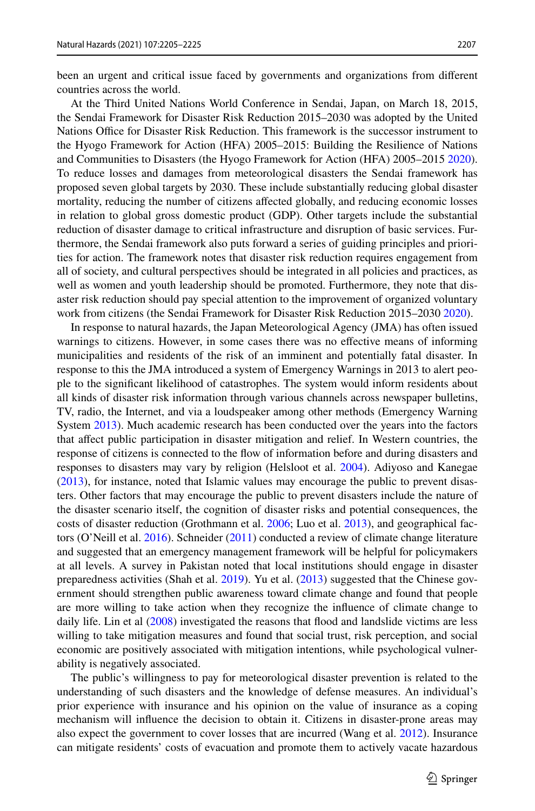been an urgent and critical issue faced by governments and organizations from diferent countries across the world.

At the Third United Nations World Conference in Sendai, Japan, on March 18, 2015, the Sendai Framework for Disaster Risk Reduction 2015–2030 was adopted by the United Nations Office for Disaster Risk Reduction. This framework is the successor instrument to the Hyogo Framework for Action (HFA) 2005–2015: Building the Resilience of Nations and Communities to Disasters (the Hyogo Framework for Action (HFA) 2005–2015 [2020](#page-20-5)). To reduce losses and damages from meteorological disasters the Sendai framework has proposed seven global targets by 2030. These include substantially reducing global disaster mortality, reducing the number of citizens afected globally, and reducing economic losses in relation to global gross domestic product (GDP). Other targets include the substantial reduction of disaster damage to critical infrastructure and disruption of basic services. Furthermore, the Sendai framework also puts forward a series of guiding principles and priorities for action. The framework notes that disaster risk reduction requires engagement from all of society, and cultural perspectives should be integrated in all policies and practices, as well as women and youth leadership should be promoted. Furthermore, they note that disaster risk reduction should pay special attention to the improvement of organized voluntary work from citizens (the Sendai Framework for Disaster Risk Reduction 2015–2030 [2020](#page-20-6)).

In response to natural hazards, the Japan Meteorological Agency (JMA) has often issued warnings to citizens. However, in some cases there was no efective means of informing municipalities and residents of the risk of an imminent and potentially fatal disaster. In response to this the JMA introduced a system of Emergency Warnings in 2013 to alert people to the signifcant likelihood of catastrophes. The system would inform residents about all kinds of disaster risk information through various channels across newspaper bulletins, TV, radio, the Internet, and via a loudspeaker among other methods (Emergency Warning System [2013](#page-19-1)). Much academic research has been conducted over the years into the factors that afect public participation in disaster mitigation and relief. In Western countries, the response of citizens is connected to the fow of information before and during disasters and responses to disasters may vary by religion (Helsloot et al. [2004\)](#page-19-2). Adiyoso and Kanegae ([2013\)](#page-19-3), for instance, noted that Islamic values may encourage the public to prevent disasters. Other factors that may encourage the public to prevent disasters include the nature of the disaster scenario itself, the cognition of disaster risks and potential consequences, the costs of disaster reduction (Grothmann et al. [2006](#page-19-4); Luo et al. [2013\)](#page-20-7), and geographical factors (O'Neill et al. [2016](#page-20-8)). Schneider ([2011\)](#page-20-9) conducted a review of climate change literature and suggested that an emergency management framework will be helpful for policymakers at all levels. A survey in Pakistan noted that local institutions should engage in disaster preparedness activities (Shah et al. [2019\)](#page-20-10). Yu et al. ([2013\)](#page-20-11) suggested that the Chinese government should strengthen public awareness toward climate change and found that people are more willing to take action when they recognize the infuence of climate change to daily life. Lin et al  $(2008)$  $(2008)$  investigated the reasons that flood and landslide victims are less willing to take mitigation measures and found that social trust, risk perception, and social economic are positively associated with mitigation intentions, while psychological vulnerability is negatively associated.

The public's willingness to pay for meteorological disaster prevention is related to the understanding of such disasters and the knowledge of defense measures. An individual's prior experience with insurance and his opinion on the value of insurance as a coping mechanism will infuence the decision to obtain it. Citizens in disaster-prone areas may also expect the government to cover losses that are incurred (Wang et al. [2012](#page-20-13)). Insurance can mitigate residents' costs of evacuation and promote them to actively vacate hazardous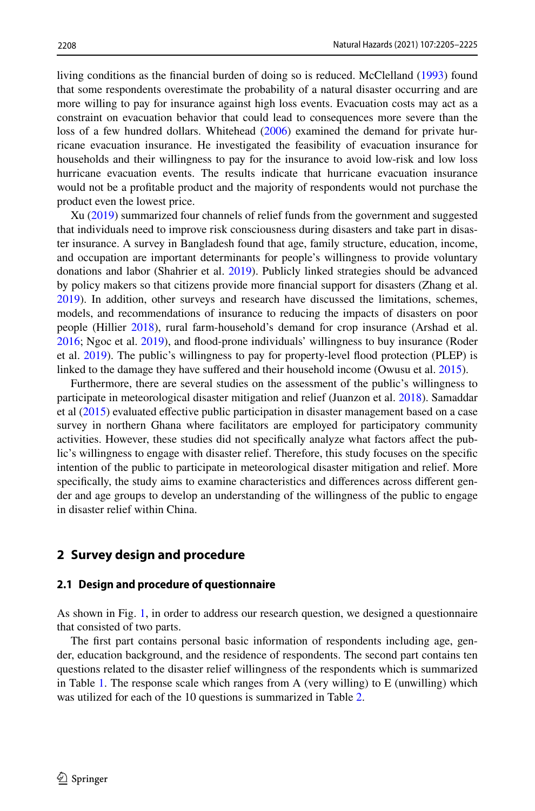living conditions as the fnancial burden of doing so is reduced. McClelland ([1993\)](#page-20-14) found that some respondents overestimate the probability of a natural disaster occurring and are more willing to pay for insurance against high loss events. Evacuation costs may act as a constraint on evacuation behavior that could lead to consequences more severe than the loss of a few hundred dollars. Whitehead [\(2006](#page-20-15)) examined the demand for private hurricane evacuation insurance. He investigated the feasibility of evacuation insurance for households and their willingness to pay for the insurance to avoid low-risk and low loss hurricane evacuation events. The results indicate that hurricane evacuation insurance would not be a proftable product and the majority of respondents would not purchase the product even the lowest price.

Xu ([2019\)](#page-20-16) summarized four channels of relief funds from the government and suggested that individuals need to improve risk consciousness during disasters and take part in disaster insurance. A survey in Bangladesh found that age, family structure, education, income, and occupation are important determinants for people's willingness to provide voluntary donations and labor (Shahrier et al. [2019\)](#page-20-17). Publicly linked strategies should be advanced by policy makers so that citizens provide more fnancial support for disasters (Zhang et al. [2019\)](#page-20-18). In addition, other surveys and research have discussed the limitations, schemes, models, and recommendations of insurance to reducing the impacts of disasters on poor people (Hillier [2018\)](#page-19-5), rural farm-household's demand for crop insurance (Arshad et al. [2016;](#page-19-6) Ngoc et al. [2019\)](#page-20-19), and food-prone individuals' willingness to buy insurance (Roder et al. [2019\)](#page-20-20). The public's willingness to pay for property-level food protection (PLEP) is linked to the damage they have suffered and their household income (Owusu et al. [2015\)](#page-20-21).

Furthermore, there are several studies on the assessment of the public's willingness to participate in meteorological disaster mitigation and relief (Juanzon et al. [2018\)](#page-20-22). Samaddar et al [\(2015](#page-20-23)) evaluated efective public participation in disaster management based on a case survey in northern Ghana where facilitators are employed for participatory community activities. However, these studies did not specifcally analyze what factors afect the public's willingness to engage with disaster relief. Therefore, this study focuses on the specifc intention of the public to participate in meteorological disaster mitigation and relief. More specifcally, the study aims to examine characteristics and diferences across diferent gender and age groups to develop an understanding of the willingness of the public to engage in disaster relief within China.

# **2 Survey design and procedure**

#### **2.1 Design and procedure of questionnaire**

As shown in Fig. [1,](#page-4-0) in order to address our research question, we designed a questionnaire that consisted of two parts.

The frst part contains personal basic information of respondents including age, gender, education background, and the residence of respondents. The second part contains ten questions related to the disaster relief willingness of the respondents which is summarized in Table [1.](#page-5-0) The response scale which ranges from A (very willing) to E (unwilling) which was utilized for each of the 10 questions is summarized in Table [2](#page-6-0).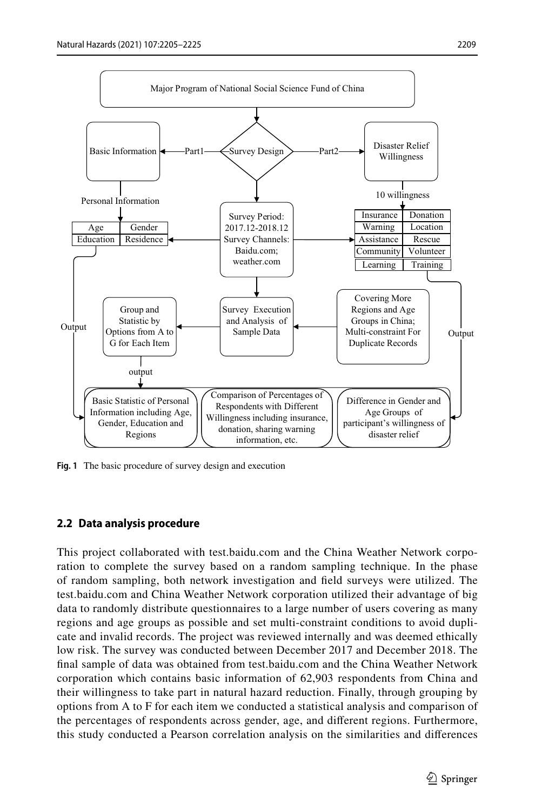

<span id="page-4-0"></span>**Fig. 1** The basic procedure of survey design and execution

# **2.2 Data analysis procedure**

This project collaborated with test.baidu.com and the China Weather Network corporation to complete the survey based on a random sampling technique. In the phase of random sampling, both network investigation and feld surveys were utilized. The test.baidu.com and China Weather Network corporation utilized their advantage of big data to randomly distribute questionnaires to a large number of users covering as many regions and age groups as possible and set multi-constraint conditions to avoid duplicate and invalid records. The project was reviewed internally and was deemed ethically low risk. The survey was conducted between December 2017 and December 2018. The fnal sample of data was obtained from test.baidu.com and the China Weather Network corporation which contains basic information of 62,903 respondents from China and their willingness to take part in natural hazard reduction. Finally, through grouping by options from A to F for each item we conducted a statistical analysis and comparison of the percentages of respondents across gender, age, and diferent regions. Furthermore, this study conducted a Pearson correlation analysis on the similarities and diferences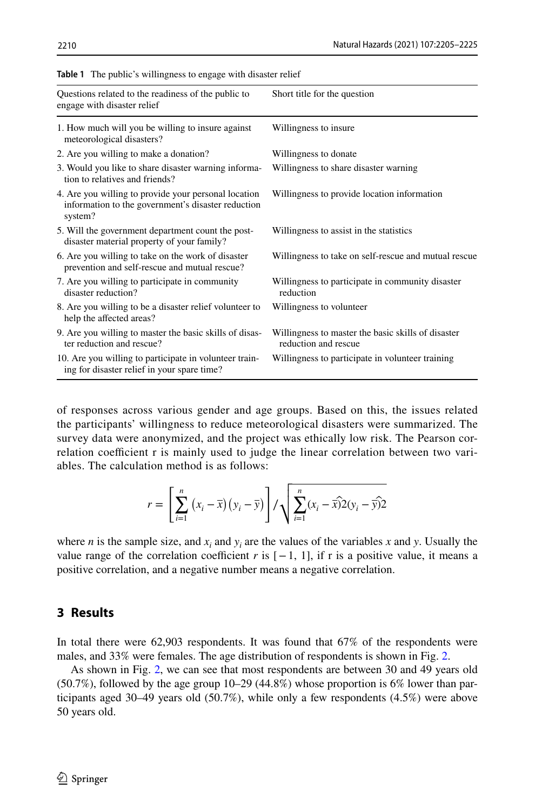| Questions related to the readiness of the public to<br>engage with disaster relief                                    | Short title for the question                                               |
|-----------------------------------------------------------------------------------------------------------------------|----------------------------------------------------------------------------|
| 1. How much will you be willing to insure against<br>meteorological disasters?                                        | Willingness to insure.                                                     |
| 2. Are you willing to make a donation?                                                                                | Willingness to donate                                                      |
| 3. Would you like to share disaster warning informa-<br>tion to relatives and friends?                                | Willingness to share disaster warning                                      |
| 4. Are you willing to provide your personal location<br>information to the government's disaster reduction<br>system? | Willingness to provide location information                                |
| 5. Will the government department count the post-<br>disaster material property of your family?                       | Willingness to assist in the statistics                                    |
| 6. Are you willing to take on the work of disaster<br>prevention and self-rescue and mutual rescue?                   | Willingness to take on self-rescue and mutual rescue                       |
| 7. Are you willing to participate in community<br>disaster reduction?                                                 | Willingness to participate in community disaster<br>reduction              |
| 8. Are you willing to be a disaster relief volunteer to<br>help the affected areas?                                   | Willingness to volunteer                                                   |
| 9. Are you willing to master the basic skills of disas-<br>ter reduction and rescue?                                  | Willingness to master the basic skills of disaster<br>reduction and rescue |
| 10. Are you willing to participate in volunteer train-<br>ing for disaster relief in your spare time?                 | Willingness to participate in volunteer training                           |

<span id="page-5-0"></span>**Table 1** The public's willingness to engage with disaster relief

of responses across various gender and age groups. Based on this, the issues related the participants' willingness to reduce meteorological disasters were summarized. The survey data were anonymized, and the project was ethically low risk. The Pearson correlation coefficient r is mainly used to judge the linear correlation between two variables. The calculation method is as follows:

$$
r = \left[\sum_{i=1}^{n} (x_i - \overline{x})(y_i - \overline{y})\right] / \sqrt{\sum_{i=1}^{n} (x_i - \widehat{x}) 2(y_i - \widehat{y}) 2}
$$

where *n* is the sample size, and  $x_i$  and  $y_i$  are the values of the variables *x* and *y*. Usually the value range of the correlation coefficient *r* is  $[-1, 1]$ , if r is a positive value, it means a positive correlation, and a negative number means a negative correlation.

# **3 Results**

In total there were 62,903 respondents. It was found that 67% of the respondents were males, and 33% were females. The age distribution of respondents is shown in Fig. [2.](#page-7-0)

As shown in Fig. [2,](#page-7-0) we can see that most respondents are between 30 and 49 years old  $(50.7\%)$ , followed by the age group 10–29  $(44.8\%)$  whose proportion is 6% lower than participants aged 30–49 years old (50.7%), while only a few respondents (4.5%) were above 50 years old.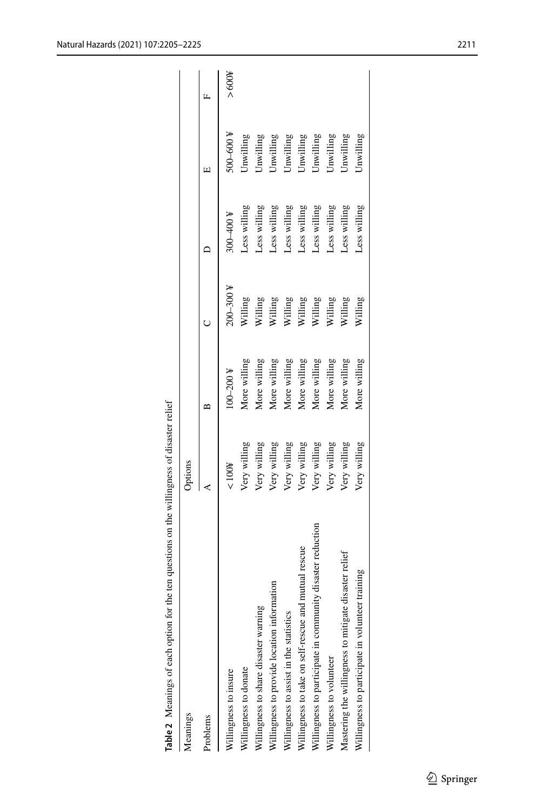| Meanings                                                   | Options      |              |          |              |                 |             |
|------------------------------------------------------------|--------------|--------------|----------|--------------|-----------------|-------------|
| Problems                                                   |              | $\approx$    |          |              | $\mathbf{r}$    | ĹI.         |
| Willingness to insure                                      | 4001         | $400 - 200$  | ¥00£-002 | ¥00+008      | $\pm 009 - 009$ | $\pm 009 <$ |
| Willingness to donate                                      | Very willing | More willing | Willing  | ess willing  | Jnwilling       |             |
| Willingness to share disaster warning                      | Very willing | More willing | Willing  | Less willing | Jnwilling       |             |
| Willingness to provide location information                | Very willing | More willing | Willing  | Less willing | Jnwilling       |             |
| Willingness to assist in the statistics                    | Very willing | More willing | Willing  | Less willing | Jnwilling       |             |
| Willingness to take on self-rescue and mutual rescue       | Very willing | More willing | Willing  | Less willing | Jnwilling       |             |
| Willingness to participate in community disaster reduction | Very willing | More willing | Willing  | Less willing | Jnwilling       |             |
| Willingness to volunteer                                   | Very willing | More willing | Willing  | Less willing | Jnwilling       |             |
| Mastering the willingness to mitigate disaster relief      | Very willing | More willing | Willing  | Less willing | Jnwilling       |             |
| Willingness to participate in volunteer training           | Very willing | More willing | Villing  | Less willing | Jnwilling       |             |
|                                                            |              |              |          |              |                 |             |

<span id="page-6-0"></span>**Table 2** Meanings of each option for the ten questions on the willingness of disaster relief

Table 2 Meanings of each option for the ten questions on the willingness of disaster relief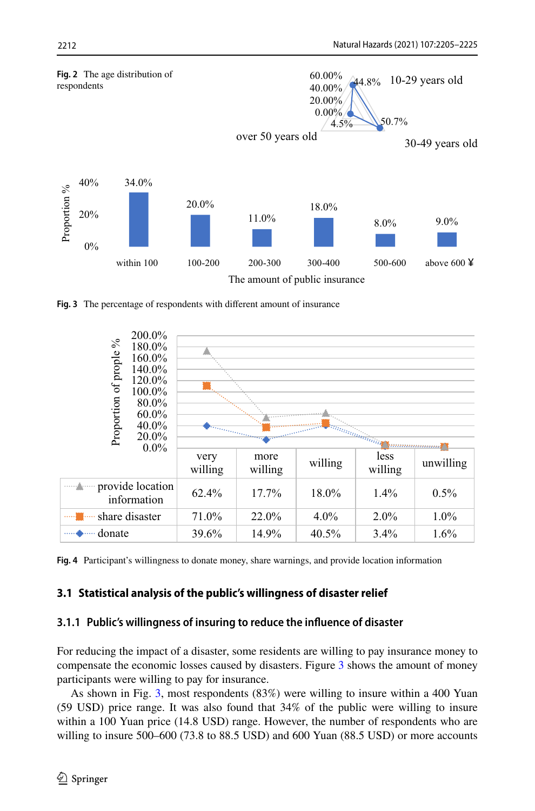<span id="page-7-0"></span>

<span id="page-7-1"></span>**Fig. 3** The percentage of respondents with diferent amount of insurance



<span id="page-7-2"></span>**Fig. 4** Participant's willingness to donate money, share warnings, and provide location information

#### **3.1 Statistical analysis of the public's willingness of disaster relief**

#### **3.1.1 Public's willingness of insuring to reduce the infuence of disaster**

For reducing the impact of a disaster, some residents are willing to pay insurance money to compensate the economic losses caused by disasters. Figure [3](#page-7-1) shows the amount of money participants were willing to pay for insurance.

As shown in Fig. [3](#page-7-1), most respondents (83%) were willing to insure within a 400 Yuan (59 USD) price range. It was also found that 34% of the public were willing to insure within a 100 Yuan price (14.8 USD) range. However, the number of respondents who are willing to insure 500–600 (73.8 to 88.5 USD) and 600 Yuan (88.5 USD) or more accounts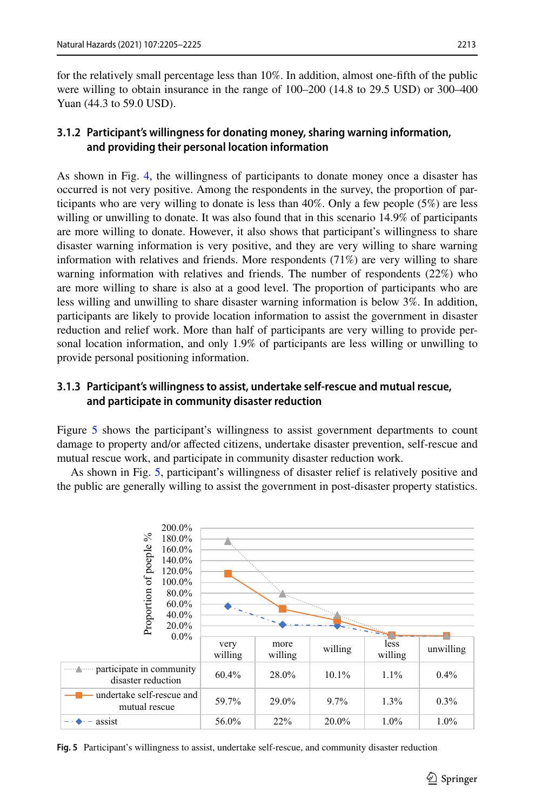for the relatively small percentage less than 10%. In addition, almost one-ffth of the public were willing to obtain insurance in the range of 100–200 (14.8 to 29.5 USD) or 300–400 Yuan (44.3 to 59.0 USD).

# **3.1.2 Participant's willingness for donating money, sharing warning information, and providing their personal location information**

As shown in Fig. [4,](#page-7-2) the willingness of participants to donate money once a disaster has occurred is not very positive. Among the respondents in the survey, the proportion of participants who are very willing to donate is less than 40%. Only a few people (5%) are less willing or unwilling to donate. It was also found that in this scenario 14.9% of participants are more willing to donate. However, it also shows that participant's willingness to share disaster warning information is very positive, and they are very willing to share warning information with relatives and friends. More respondents (71%) are very willing to share warning information with relatives and friends. The number of respondents (22%) who are more willing to share is also at a good level. The proportion of participants who are less willing and unwilling to share disaster warning information is below 3%. In addition, participants are likely to provide location information to assist the government in disaster reduction and relief work. More than half of participants are very willing to provide personal location information, and only 1.9% of participants are less willing or unwilling to provide personal positioning information.

# **3.1.3 Participant's willingness to assist, undertake self‑rescue and mutual rescue, and participate in community disaster reduction**

Figure [5](#page-8-0) shows the participant's willingness to assist government departments to count damage to property and/or afected citizens, undertake disaster prevention, self-rescue and mutual rescue work, and participate in community disaster reduction work.

As shown in Fig. [5,](#page-8-0) participant's willingness of disaster relief is relatively positive and the public are generally willing to assist the government in post-disaster property statistics.



<span id="page-8-0"></span>**Fig. 5** Participant's willingness to assist, undertake self-rescue, and community disaster reduction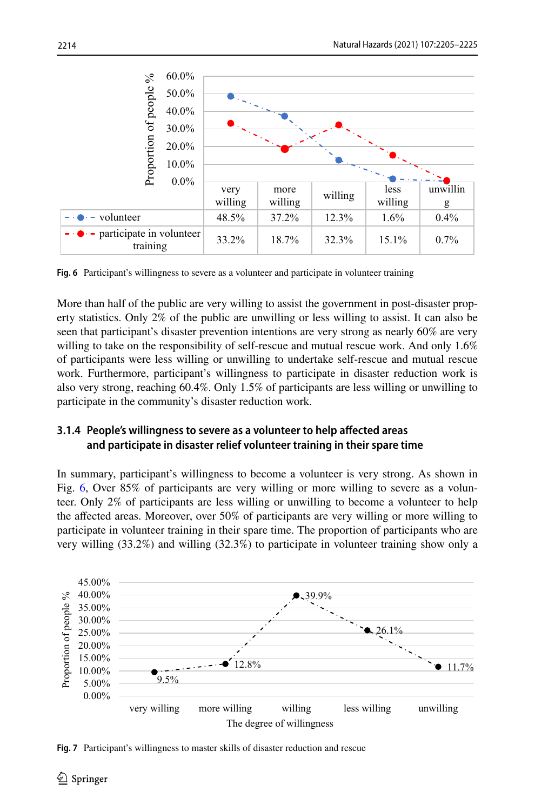

<span id="page-9-0"></span>**Fig. 6** Participant's willingness to severe as a volunteer and participate in volunteer training

More than half of the public are very willing to assist the government in post-disaster property statistics. Only 2% of the public are unwilling or less willing to assist. It can also be seen that participant's disaster prevention intentions are very strong as nearly 60% are very willing to take on the responsibility of self-rescue and mutual rescue work. And only 1.6% of participants were less willing or unwilling to undertake self-rescue and mutual rescue work. Furthermore, participant's willingness to participate in disaster reduction work is also very strong, reaching 60.4%. Only 1.5% of participants are less willing or unwilling to participate in the community's disaster reduction work.

# **3.1.4 People's willingness to severe as a volunteer to help afected areas and participate in disaster relief volunteer training in their spare time**

In summary, participant's willingness to become a volunteer is very strong. As shown in Fig. [6](#page-9-0), Over 85% of participants are very willing or more willing to severe as a volunteer. Only 2% of participants are less willing or unwilling to become a volunteer to help the afected areas. Moreover, over 50% of participants are very willing or more willing to participate in volunteer training in their spare time. The proportion of participants who are very willing (33.2%) and willing (32.3%) to participate in volunteer training show only a



<span id="page-9-1"></span>**Fig. 7** Participant's willingness to master skills of disaster reduction and rescue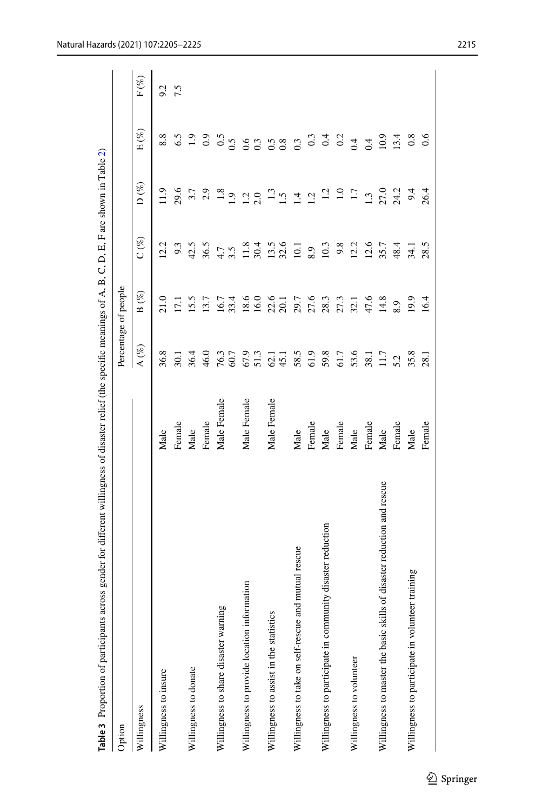<span id="page-10-0"></span>

| $B(\%)$<br>18.6<br>16.0<br>21.0<br>15.5<br>33.4<br>22.6<br>29.7<br>27.6<br>13.7<br>16.7<br>17.1<br>A(%)<br>36.8<br>36.4<br>46.0<br>60.7<br>67.9<br>58.5<br>61.9<br>76.3<br>51.3<br>30.1<br>62.1<br>45.1<br>Male Female<br>Male Female<br>Male Female<br>Female<br>Female<br>Female<br>Male<br>Male<br>Male<br>Willingness to take on self-rescue and mutual rescue<br>Willingness to provide location information<br>Willingness to share disaster warning<br>Willingness to assist in the statistics<br>Willingness to donate<br>Willingness to insure<br>Willingness |      |      | C (%)<br>12.2<br>9.3<br>42.5 | D (%)<br>1.9     | $E(\%)$       |                 |
|------------------------------------------------------------------------------------------------------------------------------------------------------------------------------------------------------------------------------------------------------------------------------------------------------------------------------------------------------------------------------------------------------------------------------------------------------------------------------------------------------------------------------------------------------------------------|------|------|------------------------------|------------------|---------------|-----------------|
|                                                                                                                                                                                                                                                                                                                                                                                                                                                                                                                                                                        |      |      |                              |                  |               | ${\rm F}\,(\%)$ |
|                                                                                                                                                                                                                                                                                                                                                                                                                                                                                                                                                                        |      |      |                              |                  | 8.8           | 9.2             |
|                                                                                                                                                                                                                                                                                                                                                                                                                                                                                                                                                                        |      |      |                              | 29.6             | 6.5           | 7.5             |
|                                                                                                                                                                                                                                                                                                                                                                                                                                                                                                                                                                        |      |      |                              | 3.7              | 1.9           |                 |
|                                                                                                                                                                                                                                                                                                                                                                                                                                                                                                                                                                        |      |      | 36.5                         | 2.9              | $_{0.9}$      |                 |
|                                                                                                                                                                                                                                                                                                                                                                                                                                                                                                                                                                        |      |      | 4.7                          | 1.8              | 0.5           |                 |
|                                                                                                                                                                                                                                                                                                                                                                                                                                                                                                                                                                        |      |      | 3.5                          | $\overline{0}$   | 0.5           |                 |
|                                                                                                                                                                                                                                                                                                                                                                                                                                                                                                                                                                        |      |      | 11.8                         | $\frac{1}{2}$ .0 | $0.6$<br>0.3  |                 |
|                                                                                                                                                                                                                                                                                                                                                                                                                                                                                                                                                                        |      |      | 30.4                         |                  |               |                 |
|                                                                                                                                                                                                                                                                                                                                                                                                                                                                                                                                                                        |      |      | 13.5<br>32.6                 | $\frac{1.3}{5}$  | $0.5$<br>0.8  |                 |
|                                                                                                                                                                                                                                                                                                                                                                                                                                                                                                                                                                        |      |      |                              |                  |               |                 |
|                                                                                                                                                                                                                                                                                                                                                                                                                                                                                                                                                                        |      |      | 10.1                         | $\overline{4}$   | 0.3           |                 |
|                                                                                                                                                                                                                                                                                                                                                                                                                                                                                                                                                                        |      |      | 8.9                          | $\overline{C}$   | $\frac{3}{2}$ |                 |
| Male<br>nity disaster reduction<br>Willingness to participate in commu                                                                                                                                                                                                                                                                                                                                                                                                                                                                                                 | 59.8 | 28.3 | 10.3                         | 1.2              | 0.4           |                 |
| 27.3<br>61.7<br>Female                                                                                                                                                                                                                                                                                                                                                                                                                                                                                                                                                 |      |      | 9.8                          | 1.0              | 0.2           |                 |
| 32.1<br>53.6<br>Male<br>Willingness to volunteer                                                                                                                                                                                                                                                                                                                                                                                                                                                                                                                       |      |      | 12.2                         | 1.7              | 0.4           |                 |
| 47.6<br>38.1<br>Female                                                                                                                                                                                                                                                                                                                                                                                                                                                                                                                                                 |      |      | 12.6                         | $\ddot{c}$       | 0.4           |                 |
| 14.8<br>11.7<br>Male<br>Willingness to master the basic skills of disaster reduction and rescue                                                                                                                                                                                                                                                                                                                                                                                                                                                                        |      |      | 35.7                         | 27.0             | 10.9          |                 |
| 8.9<br>5.2<br>Female                                                                                                                                                                                                                                                                                                                                                                                                                                                                                                                                                   |      |      | 48.4                         | 24.2             | 13.4          |                 |
| 19.9<br>35.8<br>Male<br>Willingness to participate in volunteer training                                                                                                                                                                                                                                                                                                                                                                                                                                                                                               |      |      | 34.1                         | 9.4              | 0.8           |                 |
| 16.4<br>28.1<br>Female                                                                                                                                                                                                                                                                                                                                                                                                                                                                                                                                                 |      |      | 28.5                         | 26.4             | 0.6           |                 |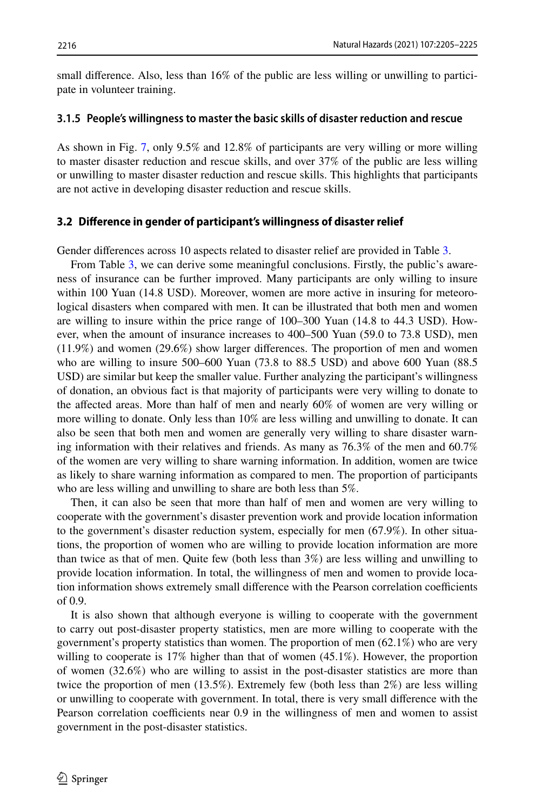small difference. Also, less than 16% of the public are less willing or unwilling to participate in volunteer training.

#### **3.1.5 People's willingness to master the basic skills of disaster reduction and rescue**

As shown in Fig. [7,](#page-9-1) only 9.5% and 12.8% of participants are very willing or more willing to master disaster reduction and rescue skills, and over 37% of the public are less willing or unwilling to master disaster reduction and rescue skills. This highlights that participants are not active in developing disaster reduction and rescue skills.

#### **3.2 Diference in gender of participant's willingness of disaster relief**

Gender diferences across 10 aspects related to disaster relief are provided in Table [3](#page-10-0).

From Table [3](#page-10-0), we can derive some meaningful conclusions. Firstly, the public's awareness of insurance can be further improved. Many participants are only willing to insure within 100 Yuan (14.8 USD). Moreover, women are more active in insuring for meteorological disasters when compared with men. It can be illustrated that both men and women are willing to insure within the price range of 100–300 Yuan (14.8 to 44.3 USD). However, when the amount of insurance increases to 400–500 Yuan (59.0 to 73.8 USD), men (11.9%) and women (29.6%) show larger diferences. The proportion of men and women who are willing to insure 500–600 Yuan (73.8 to 88.5 USD) and above 600 Yuan (88.5 USD) are similar but keep the smaller value. Further analyzing the participant's willingness of donation, an obvious fact is that majority of participants were very willing to donate to the afected areas. More than half of men and nearly 60% of women are very willing or more willing to donate. Only less than 10% are less willing and unwilling to donate. It can also be seen that both men and women are generally very willing to share disaster warning information with their relatives and friends. As many as 76.3% of the men and 60.7% of the women are very willing to share warning information. In addition, women are twice as likely to share warning information as compared to men. The proportion of participants who are less willing and unwilling to share are both less than 5%.

Then, it can also be seen that more than half of men and women are very willing to cooperate with the government's disaster prevention work and provide location information to the government's disaster reduction system, especially for men (67.9%). In other situations, the proportion of women who are willing to provide location information are more than twice as that of men. Quite few (both less than 3%) are less willing and unwilling to provide location information. In total, the willingness of men and women to provide location information shows extremely small difference with the Pearson correlation coefficients of 0.9.

It is also shown that although everyone is willing to cooperate with the government to carry out post-disaster property statistics, men are more willing to cooperate with the government's property statistics than women. The proportion of men (62.1%) who are very willing to cooperate is 17% higher than that of women (45.1%). However, the proportion of women (32.6%) who are willing to assist in the post-disaster statistics are more than twice the proportion of men (13.5%). Extremely few (both less than 2%) are less willing or unwilling to cooperate with government. In total, there is very small diference with the Pearson correlation coefficients near 0.9 in the willingness of men and women to assist government in the post-disaster statistics.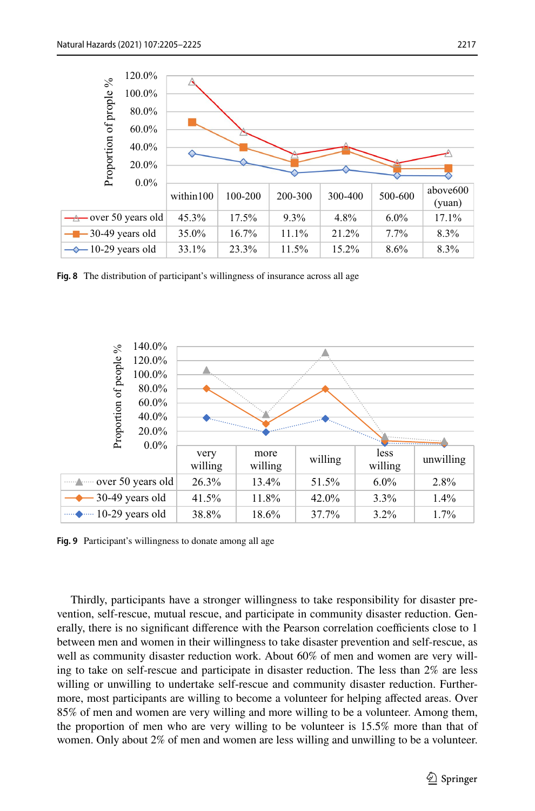

<span id="page-12-0"></span>**Fig. 8** The distribution of participant's willingness of insurance across all age



<span id="page-12-1"></span>**Fig. 9** Participant's willingness to donate among all age

Thirdly, participants have a stronger willingness to take responsibility for disaster prevention, self-rescue, mutual rescue, and participate in community disaster reduction. Generally, there is no significant difference with the Pearson correlation coefficients close to 1 between men and women in their willingness to take disaster prevention and self-rescue, as well as community disaster reduction work. About 60% of men and women are very willing to take on self-rescue and participate in disaster reduction. The less than 2% are less willing or unwilling to undertake self-rescue and community disaster reduction. Furthermore, most participants are willing to become a volunteer for helping afected areas. Over 85% of men and women are very willing and more willing to be a volunteer. Among them, the proportion of men who are very willing to be volunteer is 15.5% more than that of women. Only about 2% of men and women are less willing and unwilling to be a volunteer.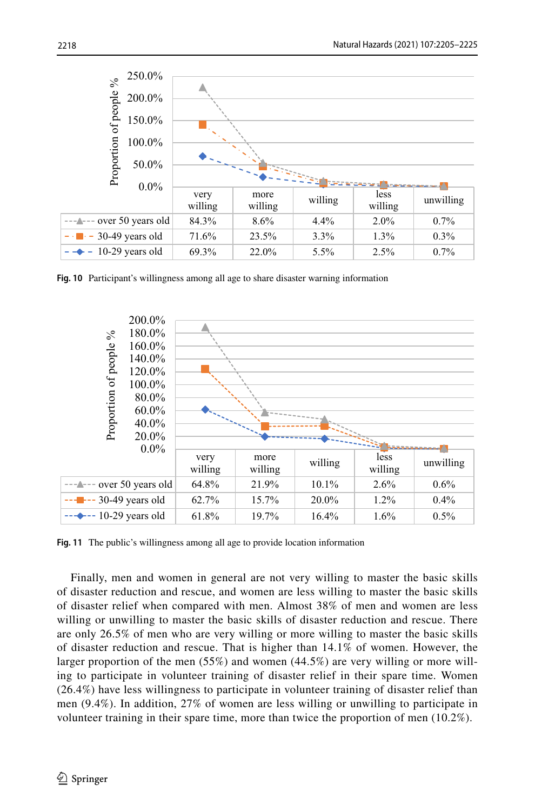

<span id="page-13-0"></span>**Fig. 10** Participant's willingness among all age to share disaster warning information



<span id="page-13-1"></span>**Fig. 11** The public's willingness among all age to provide location information

Finally, men and women in general are not very willing to master the basic skills of disaster reduction and rescue, and women are less willing to master the basic skills of disaster relief when compared with men. Almost 38% of men and women are less willing or unwilling to master the basic skills of disaster reduction and rescue. There are only 26.5% of men who are very willing or more willing to master the basic skills of disaster reduction and rescue. That is higher than 14.1% of women. However, the larger proportion of the men (55%) and women (44.5%) are very willing or more willing to participate in volunteer training of disaster relief in their spare time. Women (26.4%) have less willingness to participate in volunteer training of disaster relief than men (9.4%). In addition, 27% of women are less willing or unwilling to participate in volunteer training in their spare time, more than twice the proportion of men (10.2%).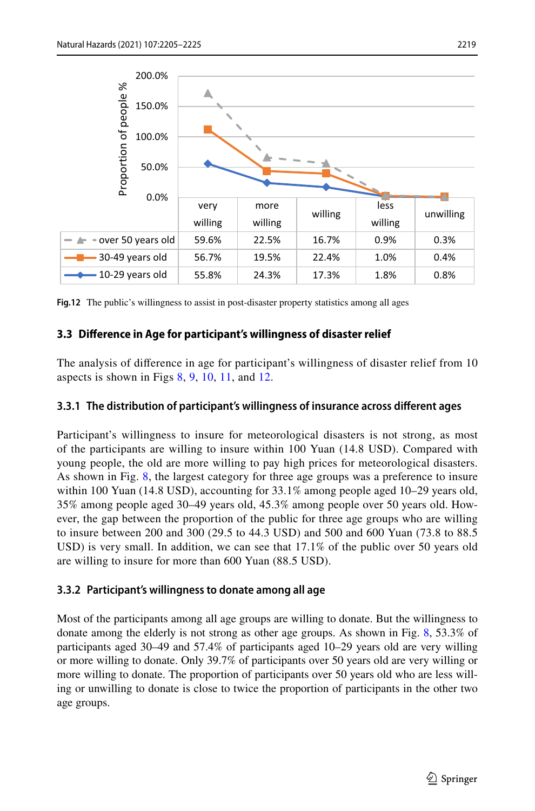

<span id="page-14-0"></span>**Fig.12** The public's willingness to assist in post-disaster property statistics among all ages

# **3.3 Diference in Age for participant's willingness of disaster relief**

The analysis of diference in age for participant's willingness of disaster relief from 10 aspects is shown in Figs  $8, 9, 10, 11$  $8, 9, 10, 11$  $8, 9, 10, 11$  $8, 9, 10, 11$  $8, 9, 10, 11$ , and  $12$ .

# **3.3.1 The distribution of participant's willingness of insurance across diferent ages**

Participant's willingness to insure for meteorological disasters is not strong, as most of the participants are willing to insure within 100 Yuan (14.8 USD). Compared with young people, the old are more willing to pay high prices for meteorological disasters. As shown in Fig. [8](#page-12-0), the largest category for three age groups was a preference to insure within 100 Yuan (14.8 USD), accounting for 33.1% among people aged 10–29 years old, 35% among people aged 30–49 years old, 45.3% among people over 50 years old. However, the gap between the proportion of the public for three age groups who are willing to insure between 200 and 300 (29.5 to 44.3 USD) and 500 and 600 Yuan (73.8 to 88.5 USD) is very small. In addition, we can see that 17.1% of the public over 50 years old are willing to insure for more than 600 Yuan (88.5 USD).

# **3.3.2 Participant's willingness to donate among all age**

Most of the participants among all age groups are willing to donate. But the willingness to donate among the elderly is not strong as other age groups. As shown in Fig. [8,](#page-12-0) 53.3% of participants aged 30–49 and 57.4% of participants aged 10–29 years old are very willing or more willing to donate. Only 39.7% of participants over 50 years old are very willing or more willing to donate. The proportion of participants over 50 years old who are less willing or unwilling to donate is close to twice the proportion of participants in the other two age groups.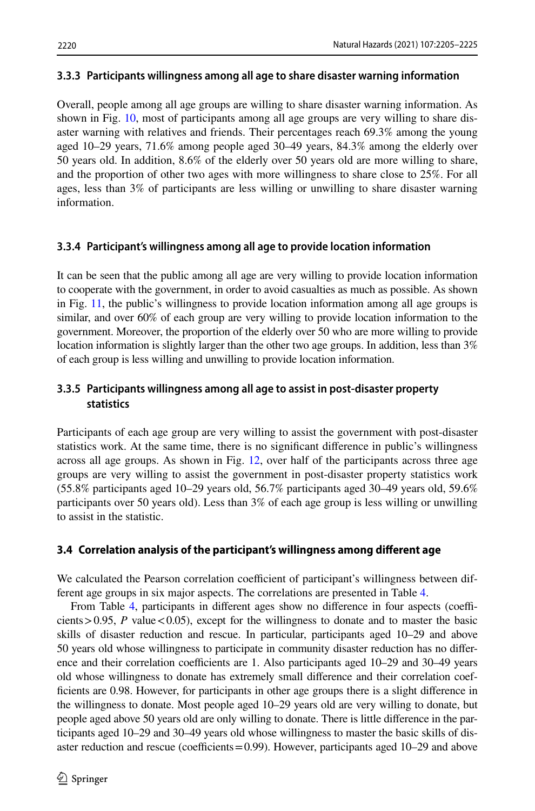### **3.3.3 Participants willingness among all age to share disaster warning information**

Overall, people among all age groups are willing to share disaster warning information. As shown in Fig. [10,](#page-13-0) most of participants among all age groups are very willing to share disaster warning with relatives and friends. Their percentages reach 69.3% among the young aged 10–29 years, 71.6% among people aged 30–49 years, 84.3% among the elderly over 50 years old. In addition, 8.6% of the elderly over 50 years old are more willing to share, and the proportion of other two ages with more willingness to share close to 25%. For all ages, less than 3% of participants are less willing or unwilling to share disaster warning information.

# **3.3.4 Participant's willingness among all age to provide location information**

It can be seen that the public among all age are very willing to provide location information to cooperate with the government, in order to avoid casualties as much as possible. As shown in Fig. [11,](#page-13-1) the public's willingness to provide location information among all age groups is similar, and over 60% of each group are very willing to provide location information to the government. Moreover, the proportion of the elderly over 50 who are more willing to provide location information is slightly larger than the other two age groups. In addition, less than 3% of each group is less willing and unwilling to provide location information.

# **3.3.5 Participants willingness among all age to assist in post‑disaster property statistics**

Participants of each age group are very willing to assist the government with post-disaster statistics work. At the same time, there is no signifcant diference in public's willingness across all age groups. As shown in Fig. [12,](#page-14-0) over half of the participants across three age groups are very willing to assist the government in post-disaster property statistics work (55.8% participants aged 10–29 years old, 56.7% participants aged 30–49 years old, 59.6% participants over 50 years old). Less than 3% of each age group is less willing or unwilling to assist in the statistic.

### **3.4 Correlation analysis of the participant's willingness among diferent age**

We calculated the Pearson correlation coefficient of participant's willingness between different age groups in six major aspects. The correlations are presented in Table [4](#page-16-0).

From Table [4,](#page-16-0) participants in different ages show no difference in four aspects (coefficients  $> 0.95$ , *P* value  $< 0.05$ ), except for the willingness to donate and to master the basic skills of disaster reduction and rescue. In particular, participants aged 10–29 and above 50 years old whose willingness to participate in community disaster reduction has no diference and their correlation coefficients are 1. Also participants aged 10–29 and 30–49 years old whose willingness to donate has extremely small diference and their correlation coefficients are 0.98. However, for participants in other age groups there is a slight difference in the willingness to donate. Most people aged 10–29 years old are very willing to donate, but people aged above 50 years old are only willing to donate. There is little diference in the participants aged 10–29 and 30–49 years old whose willingness to master the basic skills of disaster reduction and rescue (coefficients= $0.99$ ). However, participants aged 10–29 and above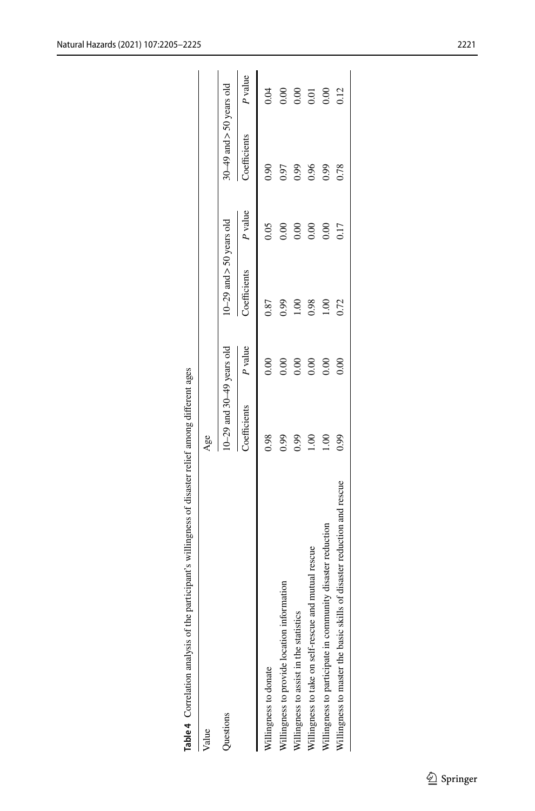| Value                                                                         | Age                           |                           |                              |               |                              |                |
|-------------------------------------------------------------------------------|-------------------------------|---------------------------|------------------------------|---------------|------------------------------|----------------|
| <b>Questions</b>                                                              | $10-29$ and $30-49$ years old |                           | $10-29$ and $> 50$ years old |               | $30-49$ and $>$ 50 years old |                |
|                                                                               | Coefficients                  | P value                   | Coefficients                 | P value       | Coefficients                 | P value        |
| Willingness to donate                                                         | 0.98                          | $_{0.00}$                 | 0.87                         | 0.05          | 0.90                         | 0.04           |
| Willingness to provide location information                                   | 9                             | 0.00                      | 0.99                         | $_{\rm 0.00}$ | 0.97                         | 0.00           |
| Willingness to assist in the statistics                                       | 0.99                          | 0.00                      | <u>ອີ</u>                    | 0.00          | 0.99                         | $\frac{8}{10}$ |
| Willingness to take on self-rescue and mutual rescue                          |                               | $_{\rm 0.00}$             | 0.98                         | 0.00          | 0.96                         | 0.01           |
| Willingness to participate in community disaster reduction                    | $\widetilde{\mathrm{S}}$      | $_{\rm 0.0}$              | $\frac{8}{1}$                | $_{0.00}$     | 6.0                          | $_{0.00}$      |
| Its of disaster reduction and rescue<br>Willingness to master the basic skill | 0.99                          | $\widetilde{\mathrm{SO}}$ | 0.72                         | 0.17          | 0.78                         | 0.12           |
|                                                                               |                               |                           |                              |               |                              |                |

<span id="page-16-0"></span>Table 4 Correlation analysis of the participant's willingness of disaster relief among different ages **Table 4** Correlation analysis of the participant's willingness of disaster relief among diferent ages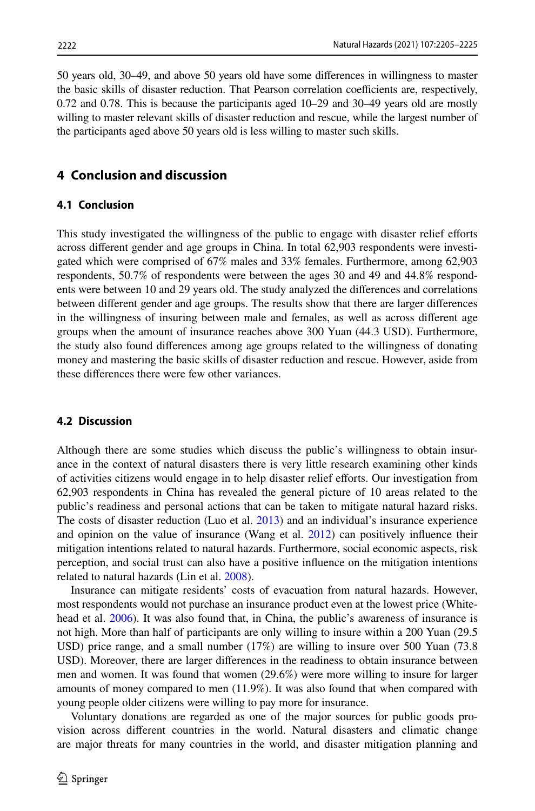50 years old, 30–49, and above 50 years old have some diferences in willingness to master the basic skills of disaster reduction. That Pearson correlation coefficients are, respectively, 0.72 and 0.78. This is because the participants aged 10–29 and 30–49 years old are mostly willing to master relevant skills of disaster reduction and rescue, while the largest number of the participants aged above 50 years old is less willing to master such skills.

# **4 Conclusion and discussion**

#### **4.1 Conclusion**

This study investigated the willingness of the public to engage with disaster relief eforts across diferent gender and age groups in China. In total 62,903 respondents were investigated which were comprised of 67% males and 33% females. Furthermore, among 62,903 respondents, 50.7% of respondents were between the ages 30 and 49 and 44.8% respondents were between 10 and 29 years old. The study analyzed the diferences and correlations between diferent gender and age groups. The results show that there are larger diferences in the willingness of insuring between male and females, as well as across diferent age groups when the amount of insurance reaches above 300 Yuan (44.3 USD). Furthermore, the study also found diferences among age groups related to the willingness of donating money and mastering the basic skills of disaster reduction and rescue. However, aside from these diferences there were few other variances.

#### **4.2 Discussion**

Although there are some studies which discuss the public's willingness to obtain insurance in the context of natural disasters there is very little research examining other kinds of activities citizens would engage in to help disaster relief eforts. Our investigation from 62,903 respondents in China has revealed the general picture of 10 areas related to the public's readiness and personal actions that can be taken to mitigate natural hazard risks. The costs of disaster reduction (Luo et al. [2013\)](#page-20-7) and an individual's insurance experience and opinion on the value of insurance (Wang et al. [2012](#page-20-13)) can positively infuence their mitigation intentions related to natural hazards. Furthermore, social economic aspects, risk perception, and social trust can also have a positive infuence on the mitigation intentions related to natural hazards (Lin et al. [2008](#page-20-12)).

Insurance can mitigate residents' costs of evacuation from natural hazards. However, most respondents would not purchase an insurance product even at the lowest price (Whitehead et al. [2006](#page-20-15)). It was also found that, in China, the public's awareness of insurance is not high. More than half of participants are only willing to insure within a 200 Yuan (29.5 USD) price range, and a small number (17%) are willing to insure over 500 Yuan (73.8 USD). Moreover, there are larger diferences in the readiness to obtain insurance between men and women. It was found that women (29.6%) were more willing to insure for larger amounts of money compared to men (11.9%). It was also found that when compared with young people older citizens were willing to pay more for insurance.

Voluntary donations are regarded as one of the major sources for public goods provision across diferent countries in the world. Natural disasters and climatic change are major threats for many countries in the world, and disaster mitigation planning and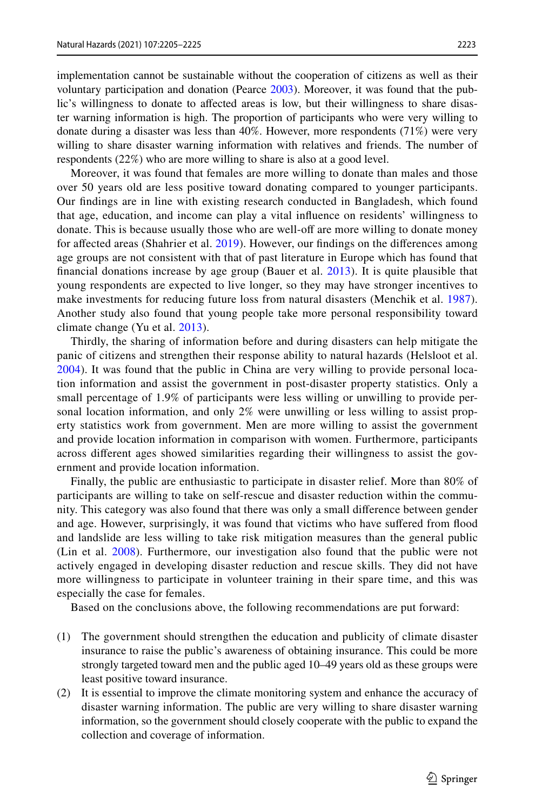implementation cannot be sustainable without the cooperation of citizens as well as their voluntary participation and donation (Pearce [2003](#page-20-24)). Moreover, it was found that the public's willingness to donate to afected areas is low, but their willingness to share disaster warning information is high. The proportion of participants who were very willing to donate during a disaster was less than 40%. However, more respondents (71%) were very willing to share disaster warning information with relatives and friends. The number of respondents (22%) who are more willing to share is also at a good level.

Moreover, it was found that females are more willing to donate than males and those over 50 years old are less positive toward donating compared to younger participants. Our fndings are in line with existing research conducted in Bangladesh, which found that age, education, and income can play a vital infuence on residents' willingness to donate. This is because usually those who are well-of are more willing to donate money for affected areas (Shahrier et al. [2019\)](#page-20-17). However, our findings on the differences among age groups are not consistent with that of past literature in Europe which has found that fnancial donations increase by age group (Bauer et al. [2013](#page-19-7)). It is quite plausible that young respondents are expected to live longer, so they may have stronger incentives to make investments for reducing future loss from natural disasters (Menchik et al. [1987\)](#page-20-25). Another study also found that young people take more personal responsibility toward climate change (Yu et al. [2013](#page-20-11)).

Thirdly, the sharing of information before and during disasters can help mitigate the panic of citizens and strengthen their response ability to natural hazards (Helsloot et al. [2004](#page-19-2)). It was found that the public in China are very willing to provide personal location information and assist the government in post-disaster property statistics. Only a small percentage of 1.9% of participants were less willing or unwilling to provide personal location information, and only 2% were unwilling or less willing to assist property statistics work from government. Men are more willing to assist the government and provide location information in comparison with women. Furthermore, participants across diferent ages showed similarities regarding their willingness to assist the government and provide location information.

Finally, the public are enthusiastic to participate in disaster relief. More than 80% of participants are willing to take on self-rescue and disaster reduction within the community. This category was also found that there was only a small diference between gender and age. However, surprisingly, it was found that victims who have sufered from food and landslide are less willing to take risk mitigation measures than the general public (Lin et al. [2008\)](#page-20-12). Furthermore, our investigation also found that the public were not actively engaged in developing disaster reduction and rescue skills. They did not have more willingness to participate in volunteer training in their spare time, and this was especially the case for females.

Based on the conclusions above, the following recommendations are put forward:

- (1) The government should strengthen the education and publicity of climate disaster insurance to raise the public's awareness of obtaining insurance. This could be more strongly targeted toward men and the public aged 10–49 years old as these groups were least positive toward insurance.
- (2) It is essential to improve the climate monitoring system and enhance the accuracy of disaster warning information. The public are very willing to share disaster warning information, so the government should closely cooperate with the public to expand the collection and coverage of information.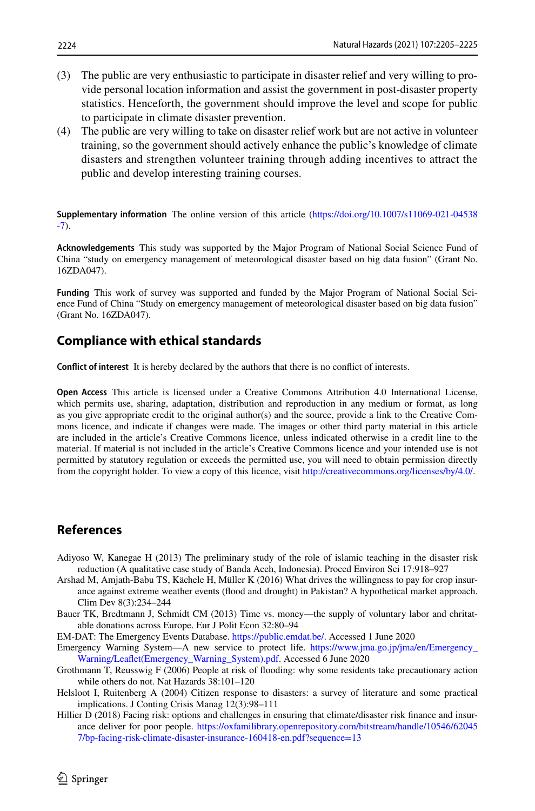- (3) The public are very enthusiastic to participate in disaster relief and very willing to provide personal location information and assist the government in post-disaster property statistics. Henceforth, the government should improve the level and scope for public to participate in climate disaster prevention.
- (4) The public are very willing to take on disaster relief work but are not active in volunteer training, so the government should actively enhance the public's knowledge of climate disasters and strengthen volunteer training through adding incentives to attract the public and develop interesting training courses.

**Supplementary information** The online version of this article ([https://doi.org/10.1007/s11069-021-04538](https://doi.org/10.1007/s11069-021-04538-7) [-7](https://doi.org/10.1007/s11069-021-04538-7)).

**Acknowledgements** This study was supported by the Major Program of National Social Science Fund of China "study on emergency management of meteorological disaster based on big data fusion" (Grant No. 16ZDA047).

Funding This work of survey was supported and funded by the Major Program of National Social Science Fund of China "Study on emergency management of meteorological disaster based on big data fusion" (Grant No. 16ZDA047).

# **Compliance with ethical standards**

**Confict of interest** It is hereby declared by the authors that there is no confict of interests.

**Open Access** This article is licensed under a Creative Commons Attribution 4.0 International License, which permits use, sharing, adaptation, distribution and reproduction in any medium or format, as long as you give appropriate credit to the original author(s) and the source, provide a link to the Creative Commons licence, and indicate if changes were made. The images or other third party material in this article are included in the article's Creative Commons licence, unless indicated otherwise in a credit line to the material. If material is not included in the article's Creative Commons licence and your intended use is not permitted by statutory regulation or exceeds the permitted use, you will need to obtain permission directly from the copyright holder. To view a copy of this licence, visit [http://creativecommons.org/licenses/by/4.0/.](http://creativecommons.org/licenses/by/4.0/)

### **References**

- <span id="page-19-3"></span>Adiyoso W, Kanegae H (2013) The preliminary study of the role of islamic teaching in the disaster risk reduction (A qualitative case study of Banda Aceh, Indonesia). Proced Environ Sci 17:918–927
- <span id="page-19-6"></span>Arshad M, Amjath-Babu TS, Kächele H, Müller K (2016) What drives the willingness to pay for crop insurance against extreme weather events (food and drought) in Pakistan? A hypothetical market approach. Clim Dev 8(3):234–244
- <span id="page-19-7"></span>Bauer TK, Bredtmann J, Schmidt CM (2013) Time vs. money—the supply of voluntary labor and chritatable donations across Europe. Eur J Polit Econ 32:80–94
- <span id="page-19-0"></span>EM-DAT: The Emergency Events Database. <https://public.emdat.be/>. Accessed 1 June 2020
- <span id="page-19-1"></span>Emergency Warning System—A new service to protect life. [https://www.jma.go.jp/jma/en/Emergency\\_](https://www.jma.go.jp/jma/en/Emergency_Warning/Leaflet(Emergency_Warning_System).pdf) [Warning/Leafet\(Emergency\\_Warning\\_System\).pdf](https://www.jma.go.jp/jma/en/Emergency_Warning/Leaflet(Emergency_Warning_System).pdf). Accessed 6 June 2020
- <span id="page-19-4"></span>Grothmann T, Reusswig F (2006) People at risk of fooding: why some residents take precautionary action while others do not. Nat Hazards 38:101–120
- <span id="page-19-2"></span>Helsloot I, Ruitenberg A (2004) Citizen response to disasters: a survey of literature and some practical implications. J Conting Crisis Manag 12(3):98–111
- <span id="page-19-5"></span>Hillier D (2018) Facing risk: options and challenges in ensuring that climate/disaster risk fnance and insurance deliver for poor people. [https://oxfamilibrary.openrepository.com/bitstream/handle/10546/62045](https://oxfamilibrary.openrepository.com/bitstream/handle/10546/620457/bp-facing-risk-climate-disaster-insurance-160418-en.pdf?sequence=13) [7/bp-facing-risk-climate-disaster-insurance-160418-en.pdf?sequence=13](https://oxfamilibrary.openrepository.com/bitstream/handle/10546/620457/bp-facing-risk-climate-disaster-insurance-160418-en.pdf?sequence=13)